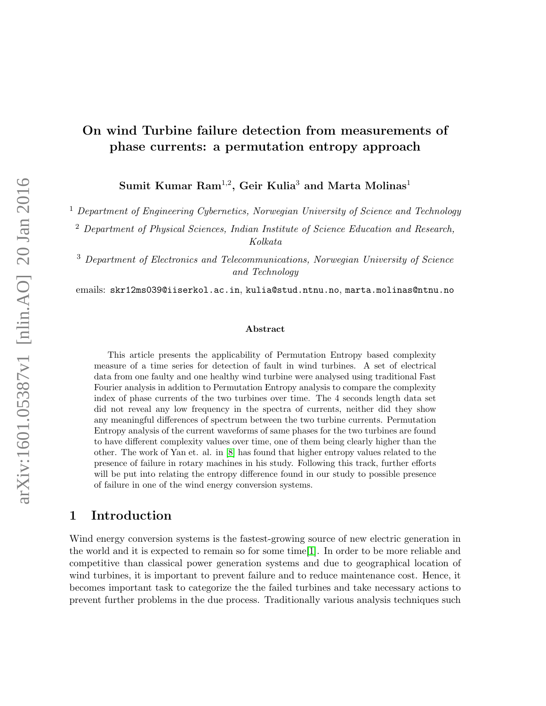# On wind Turbine failure detection from measurements of phase currents: a permutation entropy approach

 $\mathrm{Sumit\; Kumar\; Ram^{1,2}, Geir\; Kulia^3}$  and  $\mathrm{Marta\; Molinas^1}$ 

<sup>1</sup> Department of Engineering Cybernetics, Norwegian University of Science and Technology

<sup>2</sup> Department of Physical Sciences, Indian Institute of Science Education and Research, Kolkata

<sup>3</sup> Department of Electronics and Telecommunications, Norwegian University of Science and Technology

emails: skr12ms039@iiserkol.ac.in, kulia@stud.ntnu.no, marta.molinas@ntnu.no

#### Abstract

This article presents the applicability of Permutation Entropy based complexity measure of a time series for detection of fault in wind turbines. A set of electrical data from one faulty and one healthy wind turbine were analysed using traditional Fast Fourier analysis in addition to Permutation Entropy analysis to compare the complexity index of phase currents of the two turbines over time. The 4 seconds length data set did not reveal any low frequency in the spectra of currents, neither did they show any meaningful differences of spectrum between the two turbine currents. Permutation Entropy analysis of the current waveforms of same phases for the two turbines are found to have different complexity values over time, one of them being clearly higher than the other. The work of Yan et. al. in [\[8\]](#page-7-0) has found that higher entropy values related to the presence of failure in rotary machines in his study. Following this track, further efforts will be put into relating the entropy difference found in our study to possible presence of failure in one of the wind energy conversion systems.

# 1 Introduction

Wind energy conversion systems is the fastest-growing source of new electric generation in the world and it is expected to remain so for some time[\[1\]](#page-7-1). In order to be more reliable and competitive than classical power generation systems and due to geographical location of wind turbines, it is important to prevent failure and to reduce maintenance cost. Hence, it becomes important task to categorize the the failed turbines and take necessary actions to prevent further problems in the due process. Traditionally various analysis techniques such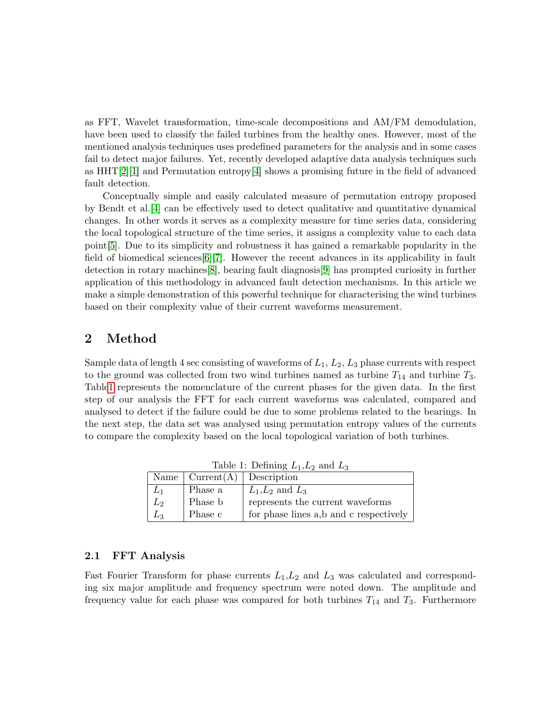as FFT, Wavelet transformation, time-scale decompositions and AM/FM demodulation, have been used to classify the failed turbines from the healthy ones. However, most of the mentioned analysis techniques uses predefined parameters for the analysis and in some cases fail to detect major failures. Yet, recently developed adaptive data analysis techniques such as  $HHT[2][1]$  $HHT[2][1]$  $HHT[2][1]$  and Permutation entropy [\[4\]](#page-7-3) shows a promising future in the field of advanced fault detection.

Conceptually simple and easily calculated measure of permutation entropy proposed by Bendt et al.[\[4\]](#page-7-3) can be effectively used to detect qualitative and quantitative dynamical changes. In other words it serves as a complexity measure for time series data, considering the local topological structure of the time series, it assigns a complexity value to each data point[\[5\]](#page-7-4). Due to its simplicity and robustness it has gained a remarkable popularity in the field of biomedical sciences[\[6\]](#page-7-5)[\[7\]](#page-7-6). However the recent advances in its applicability in fault detection in rotary machines[\[8\]](#page-7-0), bearing fault diagnosis[\[9\]](#page-8-0) has prompted curiosity in further application of this methodology in advanced fault detection mechanisms. In this article we make a simple demonstration of this powerful technique for characterising the wind turbines based on their complexity value of their current waveforms measurement.

# 2 Method

Sample data of length 4 sec consisting of waveforms of  $L_1$ ,  $L_2$ ,  $L_3$  phase currents with respect to the ground was collected from two wind turbines named as turbine  $T_{14}$  and turbine  $T_3$ . Tabl[e1](#page-1-0) represents the nomenclature of the current phases for the given data. In the first step of our analysis the FFT for each current waveforms was calculated, compared and analysed to detect if the failure could be due to some problems related to the bearings. In the next step, the data set was analysed using permutation entropy values of the currents to compare the complexity based on the local topological variation of both turbines.

| $\frac{1}{2}$ |                                             |                                        |
|---------------|---------------------------------------------|----------------------------------------|
|               | Name $\vert$ Current(A) $\vert$ Description |                                        |
| $L_1$         | Phase a                                     | $L_1,L_2$ and $L_3$                    |
| $L_{2}$       | Phase b                                     | represents the current waveforms       |
| Lз            | Phase c                                     | for phase lines a,b and c respectively |

<span id="page-1-0"></span>Table 1: Defining  $L_1, L_2$  and  $L_3$ 

#### 2.1 FFT Analysis

Fast Fourier Transform for phase currents  $L_1, L_2$  and  $L_3$  was calculated and corresponding six major amplitude and frequency spectrum were noted down. The amplitude and frequency value for each phase was compared for both turbines  $T_{14}$  and  $T_3$ . Furthermore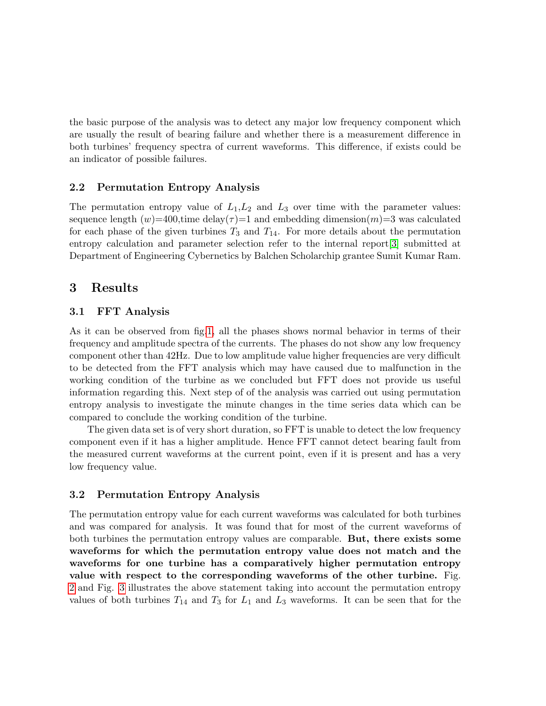the basic purpose of the analysis was to detect any major low frequency component which are usually the result of bearing failure and whether there is a measurement difference in both turbines' frequency spectra of current waveforms. This difference, if exists could be an indicator of possible failures.

#### 2.2 Permutation Entropy Analysis

The permutation entropy value of  $L_1, L_2$  and  $L_3$  over time with the parameter values: sequence length  $(w)=400$ , time delay( $\tau$ )=1 and embedding dimension(m)=3 was calculated for each phase of the given turbines  $T_3$  and  $T_{14}$ . For more details about the permutation entropy calculation and parameter selection refer to the internal report[\[3\]](#page-7-7) submitted at Department of Engineering Cybernetics by Balchen Scholarchip grantee Sumit Kumar Ram.

#### 3 Results

#### 3.1 FFT Analysis

As it can be observed from fig[.1,](#page-3-0) all the phases shows normal behavior in terms of their frequency and amplitude spectra of the currents. The phases do not show any low frequency component other than 42Hz. Due to low amplitude value higher frequencies are very difficult to be detected from the FFT analysis which may have caused due to malfunction in the working condition of the turbine as we concluded but FFT does not provide us useful information regarding this. Next step of of the analysis was carried out using permutation entropy analysis to investigate the minute changes in the time series data which can be compared to conclude the working condition of the turbine.

The given data set is of very short duration, so FFT is unable to detect the low frequency component even if it has a higher amplitude. Hence FFT cannot detect bearing fault from the measured current waveforms at the current point, even if it is present and has a very low frequency value.

#### 3.2 Permutation Entropy Analysis

The permutation entropy value for each current waveforms was calculated for both turbines and was compared for analysis. It was found that for most of the current waveforms of both turbines the permutation entropy values are comparable. But, there exists some waveforms for which the permutation entropy value does not match and the waveforms for one turbine has a comparatively higher permutation entropy value with respect to the corresponding waveforms of the other turbine. Fig. [2](#page-4-0) and Fig. [3](#page-5-0) illustrates the above statement taking into account the permutation entropy values of both turbines  $T_{14}$  and  $T_3$  for  $L_1$  and  $L_3$  waveforms. It can be seen that for the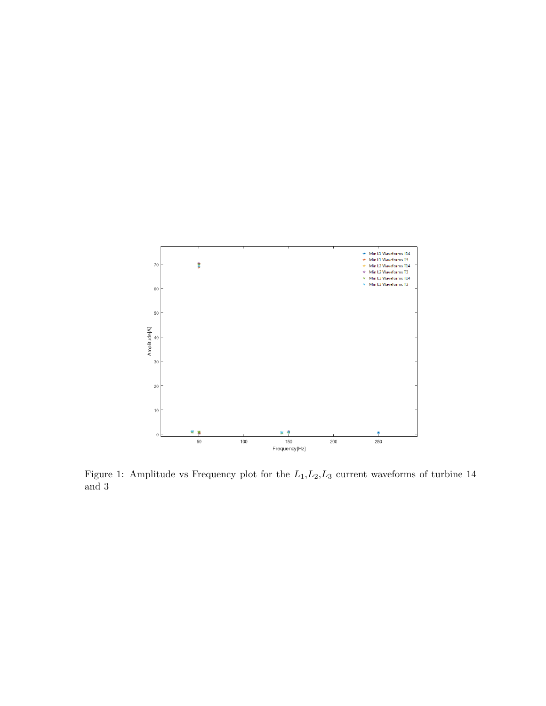

<span id="page-3-0"></span>Figure 1: Amplitude vs Frequency plot for the  $L_1, L_2, L_3$  current waveforms of turbine 14 and 3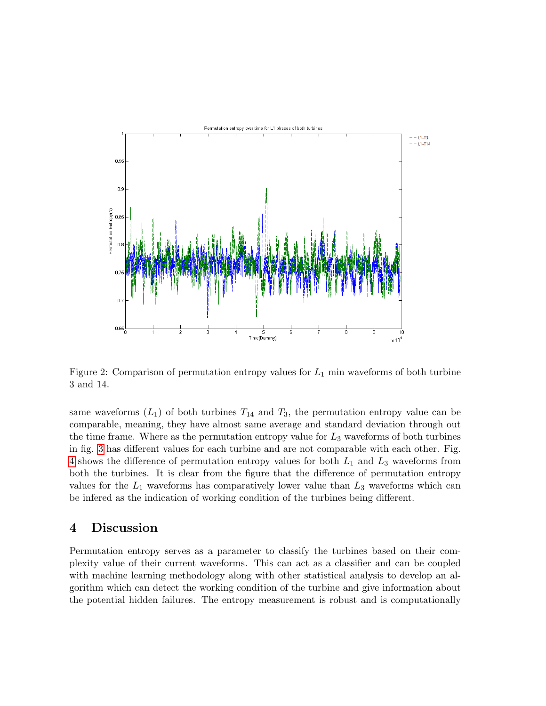

<span id="page-4-0"></span>Figure 2: Comparison of permutation entropy values for  $L_1$  min waveforms of both turbine 3 and 14.

same waveforms  $(L_1)$  of both turbines  $T_{14}$  and  $T_3$ , the permutation entropy value can be comparable, meaning, they have almost same average and standard deviation through out the time frame. Where as the permutation entropy value for  $L_3$  waveforms of both turbines in fig. [3](#page-5-0) has different values for each turbine and are not comparable with each other. Fig. [4](#page-6-0) shows the difference of permutation entropy values for both  $L_1$  and  $L_3$  waveforms from both the turbines. It is clear from the figure that the difference of permutation entropy values for the  $L_1$  waveforms has comparatively lower value than  $L_3$  waveforms which can be infered as the indication of working condition of the turbines being different.

## 4 Discussion

Permutation entropy serves as a parameter to classify the turbines based on their complexity value of their current waveforms. This can act as a classifier and can be coupled with machine learning methodology along with other statistical analysis to develop an algorithm which can detect the working condition of the turbine and give information about the potential hidden failures. The entropy measurement is robust and is computationally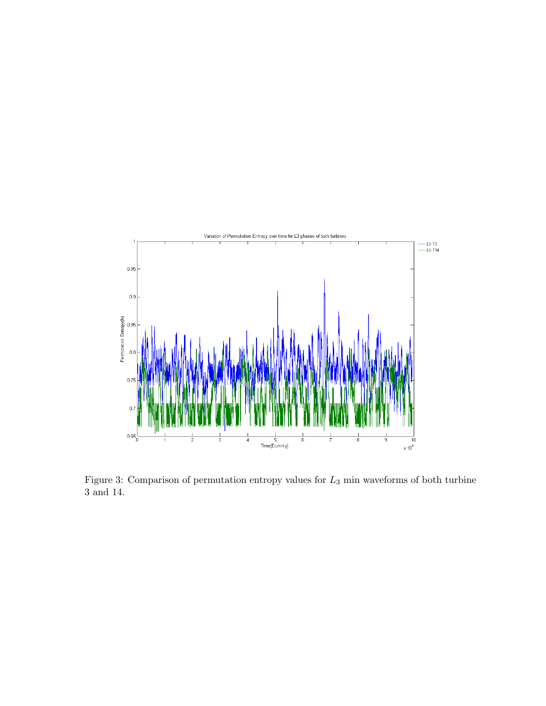

<span id="page-5-0"></span>Figure 3: Comparison of permutation entropy values for  $L_3$  min waveforms of both turbine 3 and 14.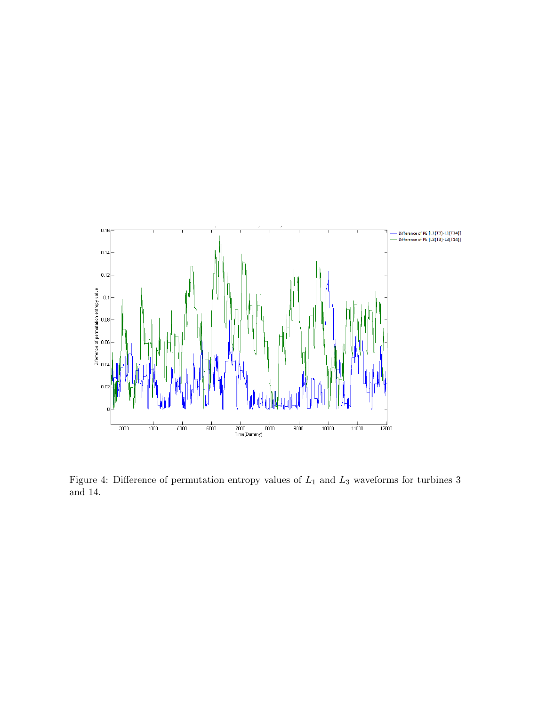

<span id="page-6-0"></span>Figure 4: Difference of permutation entropy values of  $L_1$  and  $L_3$  waveforms for turbines 3 and 14.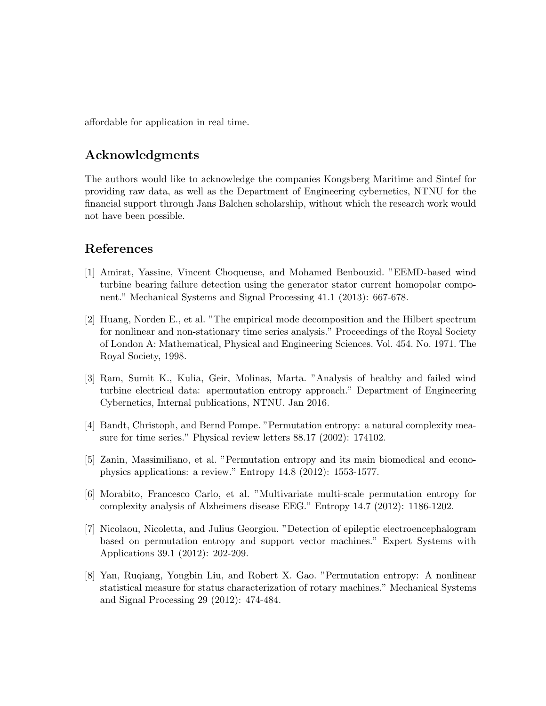affordable for application in real time.

# Acknowledgments

The authors would like to acknowledge the companies Kongsberg Maritime and Sintef for providing raw data, as well as the Department of Engineering cybernetics, NTNU for the financial support through Jans Balchen scholarship, without which the research work would not have been possible.

## References

- <span id="page-7-1"></span>[1] Amirat, Yassine, Vincent Choqueuse, and Mohamed Benbouzid. "EEMD-based wind turbine bearing failure detection using the generator stator current homopolar component." Mechanical Systems and Signal Processing 41.1 (2013): 667-678.
- <span id="page-7-2"></span>[2] Huang, Norden E., et al. "The empirical mode decomposition and the Hilbert spectrum for nonlinear and non-stationary time series analysis." Proceedings of the Royal Society of London A: Mathematical, Physical and Engineering Sciences. Vol. 454. No. 1971. The Royal Society, 1998.
- <span id="page-7-7"></span>[3] Ram, Sumit K., Kulia, Geir, Molinas, Marta. "Analysis of healthy and failed wind turbine electrical data: apermutation entropy approach." Department of Engineering Cybernetics, Internal publications, NTNU. Jan 2016.
- <span id="page-7-3"></span>[4] Bandt, Christoph, and Bernd Pompe. "Permutation entropy: a natural complexity measure for time series." Physical review letters 88.17 (2002): 174102.
- <span id="page-7-4"></span>[5] Zanin, Massimiliano, et al. "Permutation entropy and its main biomedical and econophysics applications: a review." Entropy 14.8 (2012): 1553-1577.
- <span id="page-7-5"></span>[6] Morabito, Francesco Carlo, et al. "Multivariate multi-scale permutation entropy for complexity analysis of Alzheimers disease EEG." Entropy 14.7 (2012): 1186-1202.
- <span id="page-7-6"></span>[7] Nicolaou, Nicoletta, and Julius Georgiou. "Detection of epileptic electroencephalogram based on permutation entropy and support vector machines." Expert Systems with Applications 39.1 (2012): 202-209.
- <span id="page-7-0"></span>[8] Yan, Ruqiang, Yongbin Liu, and Robert X. Gao. "Permutation entropy: A nonlinear statistical measure for status characterization of rotary machines." Mechanical Systems and Signal Processing 29 (2012): 474-484.